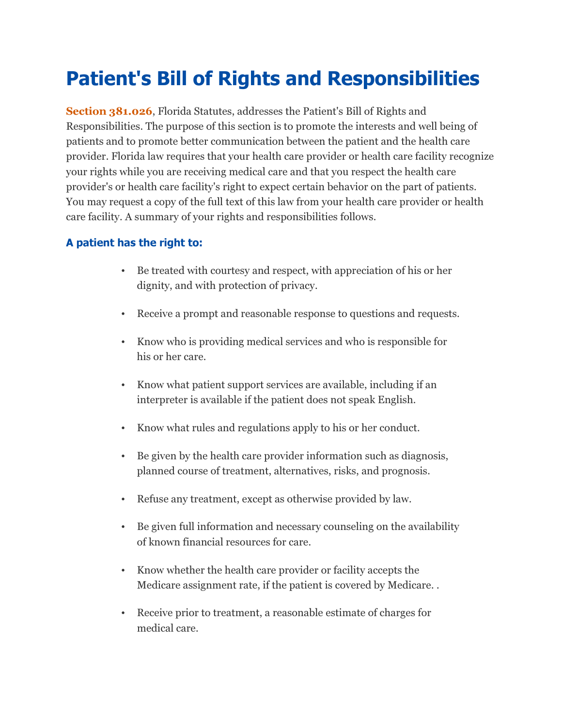## Patient's Bill of Rights and Responsibilities

Section 381.026, Florida Statutes, addresses the Patient's Bill of Rights and Responsibilities. The purpose of this section is to promote the interests and well being of patients and to promote better communication between the patient and the health care provider. Florida law requires that your health care provider or health care facility recognize your rights while you are receiving medical care and that you respect the health care provider's or health care facility's right to expect certain behavior on the part of patients. You may request a copy of the full text of this law from your health care provider or health care facility. A summary of your rights and responsibilities follows.

## A patient has the right to:

- Be treated with courtesy and respect, with appreciation of his or her dignity, and with protection of privacy.
- Receive a prompt and reasonable response to questions and requests.
- Know who is providing medical services and who is responsible for his or her care.
- Know what patient support services are available, including if an interpreter is available if the patient does not speak English.
- Know what rules and regulations apply to his or her conduct.
- Be given by the health care provider information such as diagnosis, planned course of treatment, alternatives, risks, and prognosis.
- Refuse any treatment, except as otherwise provided by law.
- Be given full information and necessary counseling on the availability of known financial resources for care.
- Know whether the health care provider or facility accepts the Medicare assignment rate, if the patient is covered by Medicare. .
- Receive prior to treatment, a reasonable estimate of charges for medical care.